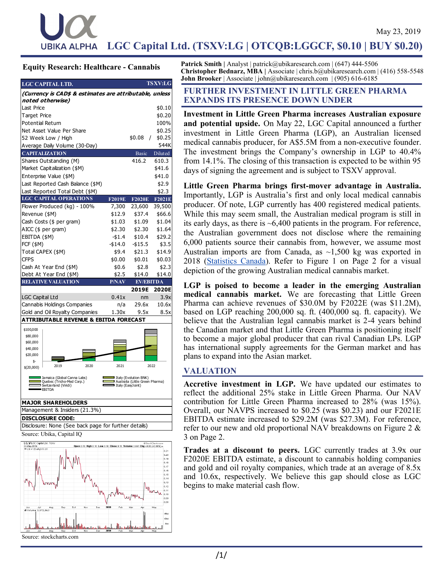# **Eq- uity Research** LGC Capital Ltd. (TSXV:LG | OTCQB:LGGCF, \$0.10 | BUY \$0.20) <u>No- vember 14, 2018 - vember 14, 2018</u>

### **Equity Research: Healthcare - Cannabis**

| <b>LGC CAPITAL LTD.</b>                                 |               |                  | <b>TSXV:LG</b>       |  |
|---------------------------------------------------------|---------------|------------------|----------------------|--|
| (Currency is CAD\$ & estimates are attributable, unless |               |                  |                      |  |
| noted otherwise)                                        |               |                  |                      |  |
| Last Price                                              |               |                  | \$0.10               |  |
| <b>Target Price</b>                                     |               |                  | \$0.20               |  |
| <b>Potential Return</b>                                 |               |                  | 100%                 |  |
| Net Asset Value Per Share                               |               |                  | \$0.25               |  |
| 52 Week Low / High                                      |               | \$0.08           | \$0.25<br>$\sqrt{2}$ |  |
| Average Daily Volume (30-Day)                           |               |                  | 544K                 |  |
| <b>CAPITALIZATION</b>                                   |               | <b>Basic</b>     | Diluted              |  |
| Shares Outstanding (M)                                  |               | 416.2            | 610.3                |  |
| Market Capitalization (\$M)                             |               |                  | \$41.6               |  |
| Enterprise Value (\$M)                                  |               |                  | \$41.0               |  |
| Last Reported Cash Balance (\$M)                        |               |                  | \$2.9                |  |
| Last Reported Total Debt (\$M)                          |               |                  | \$2.3                |  |
| <b>LGC CAPITAL OPERATIONS</b>                           | <b>F2019E</b> | <b>F2020E</b>    | <b>F2021E</b>        |  |
| Flower Produced (kg) - 100%                             | 7,300         | 23,600           | 39,500               |  |
| Revenue (\$M)                                           | \$12.9        | \$37.4           | \$66.6               |  |
| Cash Costs (\$ per gram)                                | \$1.03        | \$1.09           | \$1.04               |  |
| AICC (\$ per gram)                                      | \$2.30        | \$2.30           | \$1.64               |  |
| EBITDA (\$M)                                            | $-51.4$       | \$10.4           | \$29.2               |  |
| <b>FCF (\$M)</b>                                        | $- $14.0$     | $-$ \$15.5       | \$3.5                |  |
| Total CAPEX (\$M)                                       | \$9.4         | \$21.3           | \$14.9               |  |
| <b>CFPS</b>                                             | \$0.00        | \$0.01           | \$0.03               |  |
| Cash At Year End (\$M)                                  | \$0.6         | \$2.8            | \$2.3                |  |
| Debt At Year End (\$M)                                  | \$2.5         | \$14.0           | \$14.0               |  |
| <b>RELATIVE VALUATION</b>                               | <b>P/NAV</b>  | <b>EV/EBITDA</b> |                      |  |
|                                                         |               | 2019E            | 2020E                |  |
| <b>LGC Capital Ltd</b>                                  | 0.41x         | nm               | 3.9x                 |  |
| Cannabis Holdings Companies                             | n/a           | 29.6x            | 10.6x                |  |
| Gold and Oil Royalty Companies                          | 1.30x         | 9.5x             | 8.5x                 |  |
| <b>ATTRIBUTABLE REVENUE &amp; EBITDA FORECAST</b>       |               |                  |                      |  |
| \$100,000                                               |               |                  |                      |  |
| \$80,000                                                |               |                  |                      |  |
| \$60,000                                                |               |                  |                      |  |



Management & Insiders (21.3%)

#### **DISCLOSURE CODE:**

Disclosure: None (See back page for further details)

Source: Ubika, Capital IQ



Patrick Smith | Analyst | patrick@ubikaresearch.com | (647) 444-5506 **Christopher Bednarz, MBA |** Associate | chris.b@ubikaresearch.com | (416) 558-5548 **John Brooker** | Associate | john@ubikaresearch.com | (905) 616-6185

### **FURTHER INVESTMENT IN LITTLE GREEN PHARMA EXPANDS ITS PRESENCE DOWN UNDER**

**Investment in Little Green Pharma increases Australian exposure and potential upside.** On May 22, LGC Capital announced a further investment in Little Green Pharma (LGP), an Australian licensed medical cannabis producer, for A\$5.5M from a non-executive founder. The investment brings the Company's ownership in LGP to 40.4% from 14.1%. The closing of this transaction is expected to be within 95 days of signing the agreement and is subject to TSXV approval.

**Little Green Pharma brings first-mover advantage in Australia.** Importantly, LGP is Australia's first and only local medical cannabis producer. Of note, LGP currently has 400 registered medical patients. While this may seem small, the Australian medical program is still in its early days, as there is ~6,400 patients in the program. For reference, the Australian government does not disclose where the remaining 6,000 patients source their cannabis from, however, we assume most Australian imports are from Canada, as  $\sim$ 1,500 kg was exported in 2018 ([Statistics Canada\)](https://www.canada.ca/en/health-canada/services/drugs-medication/cannabis/licensed-producers/market-data/supply-demand.html). Refer to Figure 1 on Page 2 for a visual depiction of the growing Australian medical cannabis market.

**LGP is poised to become a leader in the emerging Australian medical cannabis market.** We are forecasting that Little Green Pharma can achieve revenues of \$30.0M by F2022E (was \$11.2M), based on LGP reaching 200,000 sq. ft. (400,000 sq. ft. capacity). We believe that the Australian legal cannabis market is 2-4 years behind the Canadian market and that Little Green Pharma is positioning itself to become a major global producer that can rival Canadian LPs. LGP has international supply agreements for the German market and has plans to expand into the Asian market.

### **VALUATION**

**Accretive investment in LGP.** We have updated our estimates to reflect the additional 25% stake in Little Green Pharma. Our NAV contribution for Little Green Pharma increased to 28% (was 15%). Overall, our NAVPS increased to \$0.25 (was \$0.23) and our F2021E EBITDA estimate increased to \$29.2M (was \$27.3M). For reference, refer to our new and old proportional NAV breakdowns on Figure 2 & 3 on Page 2.

**Trades at a discount to peers.** LGC currently trades at 3.9x our F2020E EBITDA estimate, a discount to cannabis holding companies and gold and oil royalty companies, which trade at an average of 8.5x and 10.6x, respectively. We believe this gap should close as LGC begins to make material cash flow.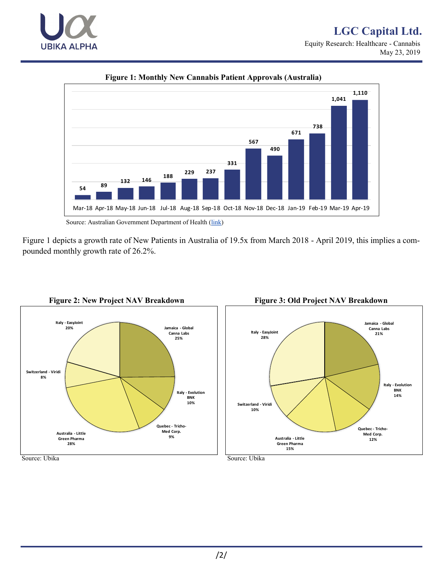# **LGC Capital Ltd.** Equity Research: Healthcare - Cannabis. May 23, 2019.





**Figure 1: Monthly New Cannabis Patient Approvals (Australia)**

Figure 1 depicts a growth rate of New Patients in Australia of 19.5x from March 2018 - April 2019, this implies a compounded monthly growth rate of 26.2%.